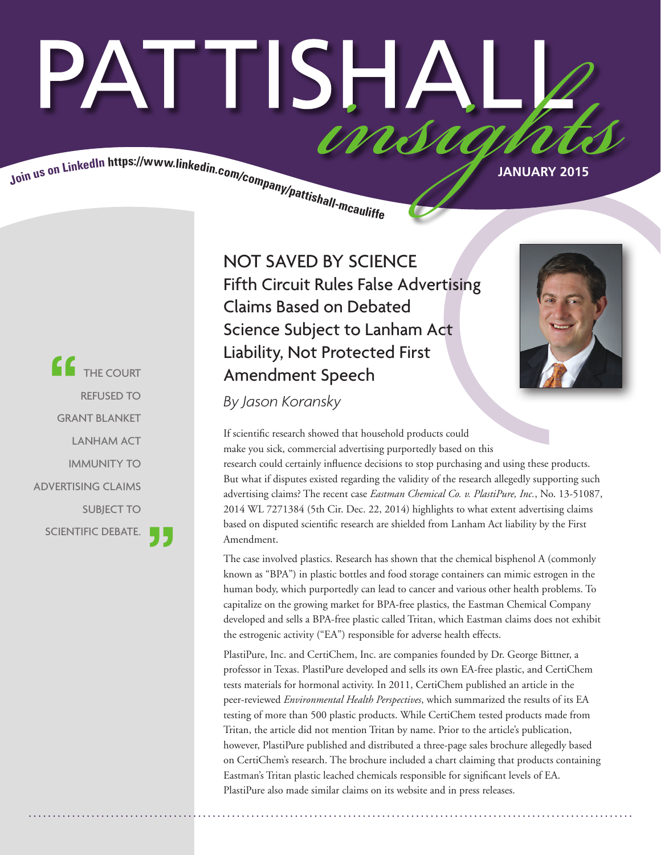# PATTISHAI insia

Join us on LinkedIn https://www.linkedin.com/company/pattishall-measure.

**COURT** REFUSED TO GRANT BLANKET LANHAM ACT IMMUNITY TO ADVERTISING CLAIMS SUBJECT TO SCIENTIFIC DEBATE.

NOT SAVED BY SCIENCE Fifth Circuit Rules False Advertising Claims Based on Debated Science Subject to Lanham Act Liability, Not Protected First Amendment Speech



*By Jason Koransky*

If scientific research showed that household products could make you sick, commercial advertising purportedly based on this research could certainly influence decisions to stop purchasing and using these products. But what if disputes existed regarding the validity of the research allegedly supporting such advertising claims? The recent case *Eastman Chemical Co. v. PlastiPure, Inc.*, No. 13-51087, 2014 WL 7271384 (5th Cir. Dec. 22, 2014) highlights to what extent advertising claims based on disputed scientific research are shielded from Lanham Act liability by the First Amendment.

The case involved plastics. Research has shown that the chemical bisphenol A (commonly known as "BPA") in plastic bottles and food storage containers can mimic estrogen in the human body, which purportedly can lead to cancer and various other health problems. To capitalize on the growing market for BPA-free plastics, the Eastman Chemical Company developed and sells a BPA-free plastic called Tritan, which Eastman claims does not exhibit the estrogenic activity ("EA") responsible for adverse health effects.

PlastiPure, Inc. and CertiChem, Inc. are companies founded by Dr. George Bittner, a professor in Texas. PlastiPure developed and sells its own EA-free plastic, and CertiChem tests materials for hormonal activity. In 2011, CertiChem published an article in the peer-reviewed *Environmental Health Perspectives*, which summarized the results of its EA testing of more than 500 plastic products. While CertiChem tested products made from Tritan, the article did not mention Tritan by name. Prior to the article's publication, however, PlastiPure published and distributed a three-page sales brochure allegedly based on CertiChem's research. The brochure included a chart claiming that products containing Eastman's Tritan plastic leached chemicals responsible for significant levels of EA. PlastiPure also made similar claims on its website and in press releases.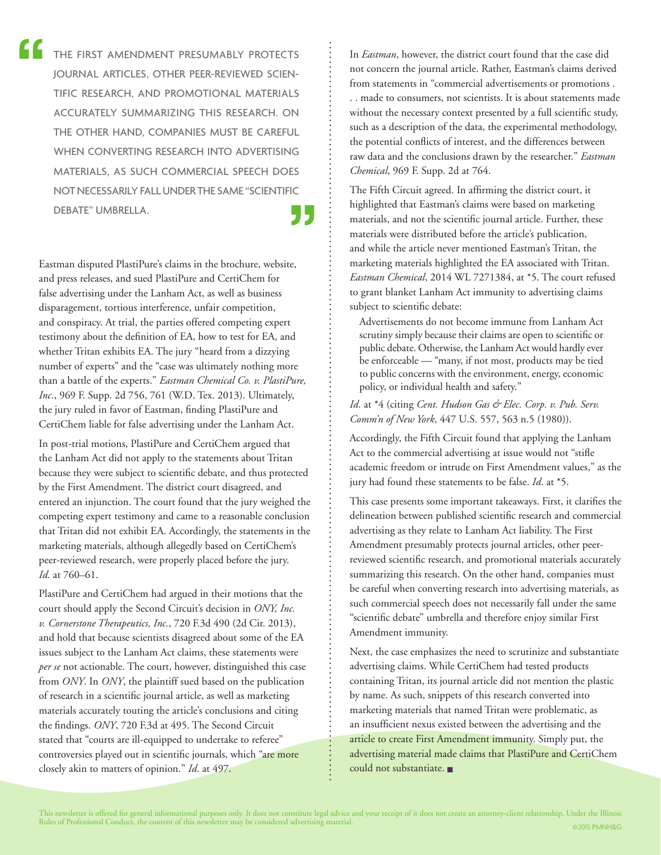THE FIRST AMENDMENT PRESUMABLY PROTECTS JOURNAL ARTICLES, OTHER PEER-REVIEWED SCIEN-TIFIC RESEARCH, AND PROMOTIONAL MATERIALS ACCURATELY SUMMARIZING THIS RESEARCH. ON THE OTHER HAND, COMPANIES MUST BE CAREFUL WHEN CONVERTING RESEARCH INTO ADVERTISING MATERIALS, AS SUCH COMMERCIAL SPEECH DOES NOT NECESSARILY FALL UNDER THE SAME "SCIENTIFIC DEBATE" UMBRELLA.

Eastman disputed PlastiPure's claims in the brochure, website, and press releases, and sued PlastiPure and CertiChem for false advertising under the Lanham Act, as well as business disparagement, tortious interference, unfair competition, and conspiracy. At trial, the parties offered competing expert testimony about the definition of EA, how to test for EA, and whether Tritan exhibits EA. The jury "heard from a dizzying number of experts" and the "case was ultimately nothing more than a battle of the experts." *Eastman Chemical Co. v. PlastiPure, Inc*., 969 F. Supp. 2d 756, 761 (W.D. Tex. 2013). Ultimately, the jury ruled in favor of Eastman, finding PlastiPure and CertiChem liable for false advertising under the Lanham Act.

In post-trial motions, PlastiPure and CertiChem argued that the Lanham Act did not apply to the statements about Tritan because they were subject to scientific debate, and thus protected by the First Amendment. The district court disagreed, and entered an injunction. The court found that the jury weighed the competing expert testimony and came to a reasonable conclusion that Tritan did not exhibit EA. Accordingly, the statements in the marketing materials, although allegedly based on CertiChem's peer-reviewed research, were properly placed before the jury. *Id.* at 760–61.

PlastiPure and CertiChem had argued in their motions that the court should apply the Second Circuit's decision in *ONY, Inc. v. Cornerstone Therapeutics, Inc.*, 720 F.3d 490 (2d Cir. 2013), and hold that because scientists disagreed about some of the EA issues subject to the Lanham Act claims, these statements were *per se* not actionable. The court, however, distinguished this case from *ONY*. In *ONY*, the plaintiff sued based on the publication of research in a scientific journal article, as well as marketing materials accurately touting the article's conclusions and citing the findings. *ONY*, 720 F.3d at 495. The Second Circuit stated that "courts are ill-equipped to undertake to referee" controversies played out in scientific journals, which "are more closely akin to matters of opinion." *Id*. at 497.

In *Eastman*, however, the district court found that the case did not concern the journal article. Rather, Eastman's claims derived from statements in "commercial advertisements or promotions . . . made to consumers, not scientists. It is about statements made without the necessary context presented by a full scientific study, such as a description of the data, the experimental methodology, the potential conflicts of interest, and the differences between raw data and the conclusions drawn by the researcher." *Eastman Chemical*, 969 F. Supp. 2d at 764.

The Fifth Circuit agreed. In affirming the district court, it highlighted that Eastman's claims were based on marketing materials, and not the scientific journal article. Further, these materials were distributed before the article's publication, and while the article never mentioned Eastman's Tritan, the marketing materials highlighted the EA associated with Tritan. *Eastman Chemical*, 2014 WL 7271384, at \*5. The court refused to grant blanket Lanham Act immunity to advertising claims subject to scientific debate:

Advertisements do not become immune from Lanham Act scrutiny simply because their claims are open to scientific or public debate. Otherwise, the Lanham Act would hardly ever be enforceable — "many, if not most, products may be tied to public concerns with the environment, energy, economic policy, or individual health and safety."

*Id.* at \*4 (citing *Cent. Hudson Gas & Elec. Corp. v. Pub. Serv. Comm'n of New York*, 447 U.S. 557, 563 n.5 (1980)).

Accordingly, the Fifth Circuit found that applying the Lanham Act to the commercial advertising at issue would not "stifle academic freedom or intrude on First Amendment values," as the jury had found these statements to be false. *Id*. at \*5.

This case presents some important takeaways. First, it clarifies the delineation between published scientific research and commercial advertising as they relate to Lanham Act liability. The First Amendment presumably protects journal articles, other peerreviewed scientific research, and promotional materials accurately summarizing this research. On the other hand, companies must be careful when converting research into advertising materials, as such commercial speech does not necessarily fall under the same "scientific debate" umbrella and therefore enjoy similar First Amendment immunity.

Next, the case emphasizes the need to scrutinize and substantiate advertising claims. While CertiChem had tested products containing Tritan, its journal article did not mention the plastic by name. As such, snippets of this research converted into marketing materials that named Tritan were problematic, as an insufficient nexus existed between the advertising and the article to create First Amendment immunity. Simply put, the advertising material made claims that PlastiPure and CertiChem could not substantiate. ■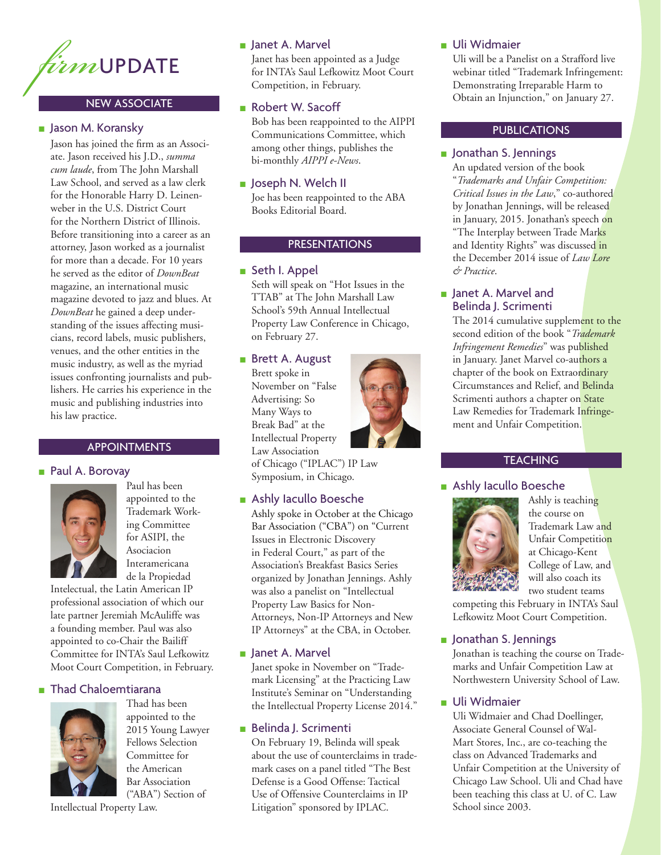

#### NEW ASSOCIATE

#### ■ Jason M. Koransky

Jason has joined the firm as an Associate. Jason received his J.D., *summa cum laude*, from The John Marshall Law School, and served as a law clerk for the Honorable Harry D. Leinenweber in the U.S. District Court for the Northern District of Illinois. Before transitioning into a career as an attorney, Jason worked as a journalist for more than a decade. For 10 years he served as the editor of *DownBeat* magazine, an international music magazine devoted to jazz and blues. At *DownBeat* he gained a deep understanding of the issues affecting musicians, record labels, music publishers, venues, and the other entities in the music industry, as well as the myriad issues confronting journalists and publishers. He carries his experience in the music and publishing industries into his law practice.

#### APPOINTMENTS

#### ■ Paul A. Borovay



Paul has been appointed to the Trademark Working Committee for ASIPI, the Asociacion Interamericana de la Propiedad

Intelectual, the Latin American IP professional association of which our late partner Jeremiah McAuliffe was a founding member. Paul was also appointed to co-Chair the Bailiff Committee for INTA's Saul Lefkowitz Moot Court Competition, in February.

#### ■ Thad Chaloemtiarana



Thad has been appointed to the 2015 Young Lawyer Fellows Selection Committee for the American Bar Association ("ABA") Section of

#### ■ Janet A. Marvel

Janet has been appointed as a Judge for INTA's Saul Lefkowitz Moot Court Competition, in February.

#### ■ Robert W. Sacoff

Bob has been reappointed to the AIPPI Communications Committee, which among other things, publishes the bi-monthly *AIPPI e-News*.

#### ■ Joseph N. Welch II

Joe has been reappointed to the ABA Books Editorial Board.

#### PRESENTATIONS

#### ■ Seth I. Appel

Seth will speak on "Hot Issues in the TTAB" at The John Marshall Law School's 59th Annual Intellectual Property Law Conference in Chicago, on February 27.

## ■ Brett A. August

Brett spoke in November on "False Advertising: So Many Ways to Break Bad" at the Intellectual Property Law Association



of Chicago ("IPLAC") IP Law Symposium, in Chicago.

# ■ Ashly Iacullo Boesche

Ashly spoke in October at the Chicago Bar Association ("CBA") on "Current Issues in Electronic Discovery in Federal Court," as part of the Association's Breakfast Basics Series organized by Jonathan Jennings. Ashly was also a panelist on "Intellectual Property Law Basics for Non-Attorneys, Non-IP Attorneys and New IP Attorneys" at the CBA, in October.

#### ■ Janet A. Marvel

Janet spoke in November on "Trademark Licensing" at the Practicing Law Institute's Seminar on "Understanding the Intellectual Property License 2014."

#### ■ Belinda J. Scrimenti

On February 19, Belinda will speak about the use of counterclaims in trademark cases on a panel titled "The Best Defense is a Good Offense: Tactical Use of Offensive Counterclaims in IP Litigation" sponsored by IPLAC.

## ■ Uli Widmaier

Uli will be a Panelist on a Strafford live webinar titled "Trademark Infringement: Demonstrating Irreparable Harm to Obtain an Injunction," on January 27.

#### PUBLICATIONS

#### ■ Jonathan S. Jennings

An updated version of the book "*Trademarks and Unfair Competition: Critical Issues in the Law*," co-authored by Jonathan Jennings, will be released in January, 2015. Jonathan's speech on "The Interplay between Trade Marks and Identity Rights" was discussed in the December 2014 issue of *Law Lore & Practice*.

#### ■ Janet A. Marvel and Belinda J. Scrimenti

The 2014 cumulative supplement to the second edition of the book "*Trademark Infringement Remedies*" was published in January. Janet Marvel co-authors a chapter of the book on Extraordinary Circumstances and Relief, and Belinda Scrimenti authors a chapter on State Law Remedies for Trademark Infringement and Unfair Competition.

#### **TEACHING**

#### ■ Ashly Iacullo Boesche



Ashly is teaching the course on Trademark Law and Unfair Competition at Chicago-Kent College of Law, and will also coach its two student teams

competing this February in INTA's Saul Lefkowitz Moot Court Competition.

#### ■ Jonathan S. Jennings

Jonathan is teaching the course on Trademarks and Unfair Competition Law at Northwestern University School of Law.

# ■ Uli Widmaier

Uli Widmaier and Chad Doellinger, Associate General Counsel of Wal-Mart Stores, Inc., are co-teaching the class on Advanced Trademarks and Unfair Competition at the University of Chicago Law School. Uli and Chad have been teaching this class at U. of C. Law School since 2003.

Intellectual Property Law.